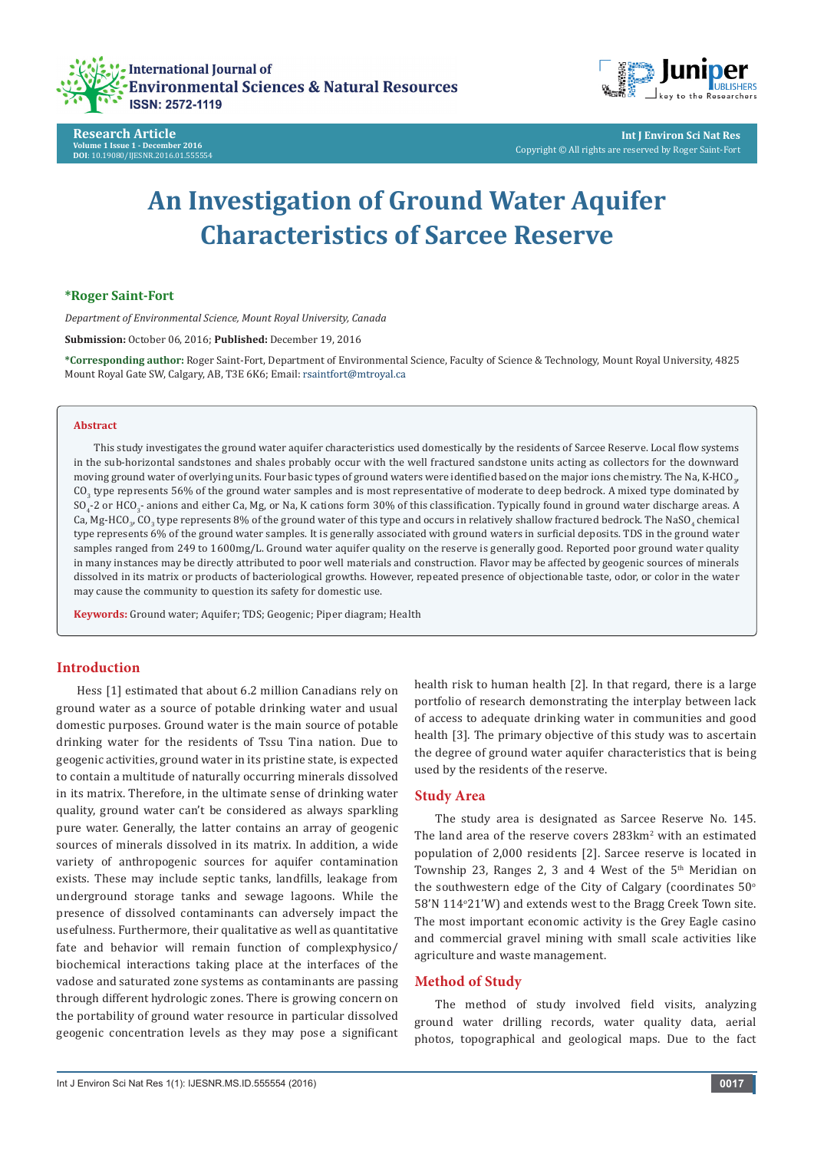

**Research Article Volume 1 Issue 1 - December 2016 DOI**[: 10.19080/IJESNR.2016.01.555554](http://dx.doi.org/10.19080/IJESNR.2016.01.555554
)



**Int J Environ Sci Nat Res** Copyright © All rights are reserved by Roger Saint-Fort

# **An Investigation of Ground Water Aquifer Characteristics of Sarcee Reserve**

## **\*Roger Saint-Fort**

*Department of Environmental Science, Mount Royal University, Canada*

**Submission:** October 06, 2016; **Published:** December 19, 2016

**\*Corresponding author:** Roger Saint-Fort, Department of Environmental Science, Faculty of Science & Technology, Mount Royal University, 4825 Mount Royal Gate SW, Calgary, AB, T3E 6K6; Email: rsaintfort@mtroyal.ca

#### **Abstract**

This study investigates the ground water aquifer characteristics used domestically by the residents of Sarcee Reserve. Local flow systems in the sub-horizontal sandstones and shales probably occur with the well fractured sandstone units acting as collectors for the downward moving ground water of overlying units. Four basic types of ground waters were identified based on the major ions chemistry. The Na, K-HCO $_{\jmath}$ ,  ${\rm CO}_{3}$  type represents 56% of the ground water samples and is most representative of moderate to deep bedrock. A mixed type dominated by  ${\rm SO}_4$ -2 or HCO $_3$ - anions and either Ca, Mg, or Na, K cations form 30% of this classification. Typically found in ground water discharge areas. A Ca, Mg-HCO<sub>3</sub>, CO<sub>3</sub> type represents 8% of the ground water of this type and occurs in relatively shallow fractured bedrock. The NaSO<sub>4</sub> chemical type represents 6% of the ground water samples. It is generally associated with ground waters in surficial deposits. TDS in the ground water samples ranged from 249 to 1600mg/L. Ground water aquifer quality on the reserve is generally good. Reported poor ground water quality in many instances may be directly attributed to poor well materials and construction. Flavor may be affected by geogenic sources of minerals dissolved in its matrix or products of bacteriological growths. However, repeated presence of objectionable taste, odor, or color in the water may cause the community to question its safety for domestic use.

**Keywords:** Ground water; Aquifer; TDS; Geogenic; Piper diagram; Health

## **Introduction**

Hess [1] estimated that about 6.2 million Canadians rely on ground water as a source of potable drinking water and usual domestic purposes. Ground water is the main source of potable drinking water for the residents of Tssu Tina nation. Due to geogenic activities, ground water in its pristine state, is expected to contain a multitude of naturally occurring minerals dissolved in its matrix. Therefore, in the ultimate sense of drinking water quality, ground water can't be considered as always sparkling pure water. Generally, the latter contains an array of geogenic sources of minerals dissolved in its matrix. In addition, a wide variety of anthropogenic sources for aquifer contamination exists. These may include septic tanks, landfills, leakage from underground storage tanks and sewage lagoons. While the presence of dissolved contaminants can adversely impact the usefulness. Furthermore, their qualitative as well as quantitative fate and behavior will remain function of complexphysico/ biochemical interactions taking place at the interfaces of the vadose and saturated zone systems as contaminants are passing through different hydrologic zones. There is growing concern on the portability of ground water resource in particular dissolved geogenic concentration levels as they may pose a significant health risk to human health [2]. In that regard, there is a large portfolio of research demonstrating the interplay between lack of access to adequate drinking water in communities and good health [3]. The primary objective of this study was to ascertain the degree of ground water aquifer characteristics that is being used by the residents of the reserve.

#### **Study Area**

The study area is designated as Sarcee Reserve No. 145. The land area of the reserve covers  $283 \text{km}^2$  with an estimated population of 2,000 residents [2]. Sarcee reserve is located in Township 23, Ranges 2, 3 and 4 West of the  $5<sup>th</sup>$  Meridian on the southwestern edge of the City of Calgary (coordinates 50° 58'N 114°21'W) and extends west to the Bragg Creek Town site. The most important economic activity is the Grey Eagle casino and commercial gravel mining with small scale activities like agriculture and waste management.

## **Method of Study**

The method of study involved field visits, analyzing ground water drilling records, water quality data, aerial photos, topographical and geological maps. Due to the fact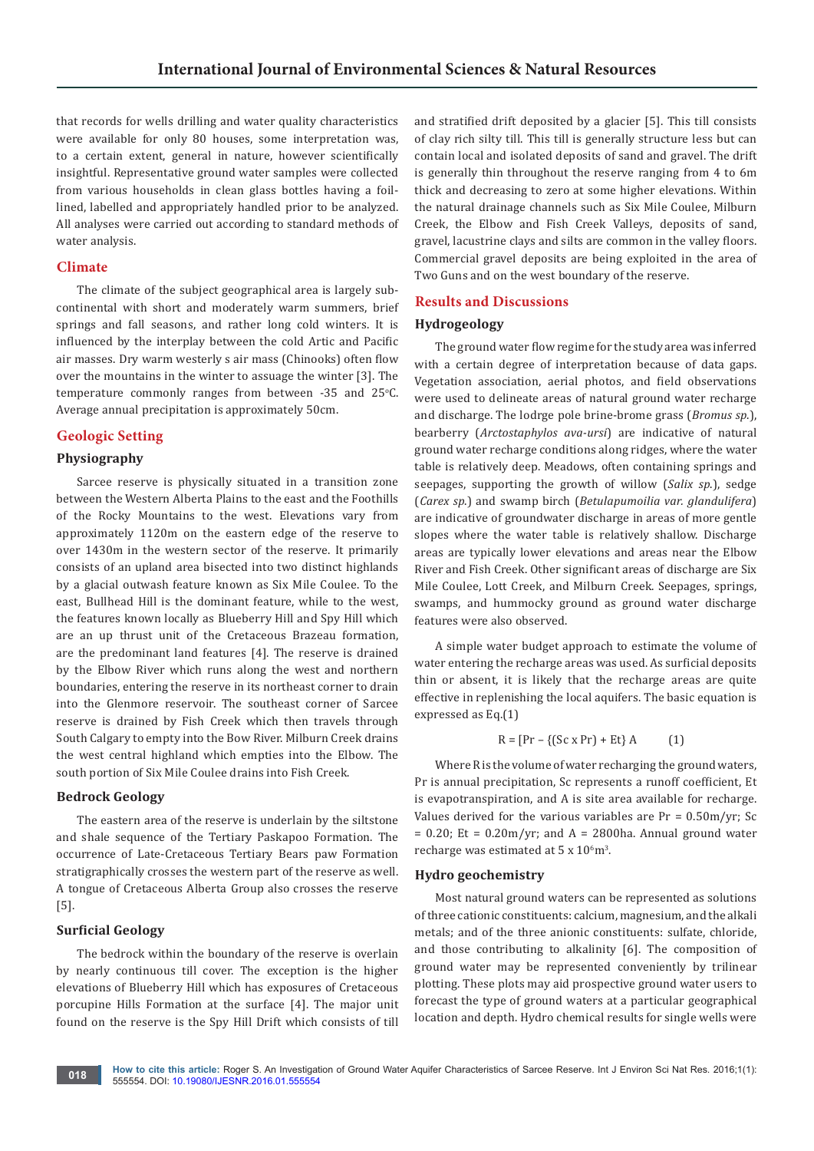that records for wells drilling and water quality characteristics were available for only 80 houses, some interpretation was, to a certain extent, general in nature, however scientifically insightful. Representative ground water samples were collected from various households in clean glass bottles having a foillined, labelled and appropriately handled prior to be analyzed. All analyses were carried out according to standard methods of water analysis.

## **Climate**

The climate of the subject geographical area is largely subcontinental with short and moderately warm summers, brief springs and fall seasons, and rather long cold winters. It is influenced by the interplay between the cold Artic and Pacific air masses. Dry warm westerly s air mass (Chinooks) often flow over the mountains in the winter to assuage the winter [3]. The  $temperature$  commonly ranges from between -35 and 25 $°C$ . Average annual precipitation is approximately 50cm.

## **Geologic Setting**

## **Physiography**

Sarcee reserve is physically situated in a transition zone between the Western Alberta Plains to the east and the Foothills of the Rocky Mountains to the west. Elevations vary from approximately 1120m on the eastern edge of the reserve to over 1430m in the western sector of the reserve. It primarily consists of an upland area bisected into two distinct highlands by a glacial outwash feature known as Six Mile Coulee. To the east, Bullhead Hill is the dominant feature, while to the west, the features known locally as Blueberry Hill and Spy Hill which are an up thrust unit of the Cretaceous Brazeau formation, are the predominant land features [4]. The reserve is drained by the Elbow River which runs along the west and northern boundaries, entering the reserve in its northeast corner to drain into the Glenmore reservoir. The southeast corner of Sarcee reserve is drained by Fish Creek which then travels through South Calgary to empty into the Bow River. Milburn Creek drains the west central highland which empties into the Elbow. The south portion of Six Mile Coulee drains into Fish Creek.

### **Bedrock Geology**

The eastern area of the reserve is underlain by the siltstone and shale sequence of the Tertiary Paskapoo Formation. The occurrence of Late-Cretaceous Tertiary Bears paw Formation stratigraphically crosses the western part of the reserve as well. A tongue of Cretaceous Alberta Group also crosses the reserve [5].

## **Surficial Geology**

The bedrock within the boundary of the reserve is overlain by nearly continuous till cover. The exception is the higher elevations of Blueberry Hill which has exposures of Cretaceous porcupine Hills Formation at the surface [4]. The major unit found on the reserve is the Spy Hill Drift which consists of till

and stratified drift deposited by a glacier [5]. This till consists of clay rich silty till. This till is generally structure less but can contain local and isolated deposits of sand and gravel. The drift is generally thin throughout the reserve ranging from 4 to 6m thick and decreasing to zero at some higher elevations. Within the natural drainage channels such as Six Mile Coulee, Milburn Creek, the Elbow and Fish Creek Valleys, deposits of sand, gravel, lacustrine clays and silts are common in the valley floors. Commercial gravel deposits are being exploited in the area of Two Guns and on the west boundary of the reserve.

## **Results and Discussions**

### **Hydrogeology**

The ground water flow regime for the study area was inferred with a certain degree of interpretation because of data gaps. Vegetation association, aerial photos, and field observations were used to delineate areas of natural ground water recharge and discharge. The lodrge pole brine-brome grass (*Bromus sp*.), bearberry (*Arctostaphylos ava-ursi*) are indicative of natural ground water recharge conditions along ridges, where the water table is relatively deep. Meadows, often containing springs and seepages, supporting the growth of willow (*Salix sp*.), sedge (*Carex sp*.) and swamp birch (*Betulapumoilia var. glandulifera*) are indicative of groundwater discharge in areas of more gentle slopes where the water table is relatively shallow. Discharge areas are typically lower elevations and areas near the Elbow River and Fish Creek. Other significant areas of discharge are Six Mile Coulee, Lott Creek, and Milburn Creek. Seepages, springs, swamps, and hummocky ground as ground water discharge features were also observed.

A simple water budget approach to estimate the volume of water entering the recharge areas was used. As surficial deposits thin or absent, it is likely that the recharge areas are quite effective in replenishing the local aquifers. The basic equation is expressed as Eq.(1)

$$
R = [Pr - \{(Sc \times Pr) + Et\} A \qquad (1)
$$

Where R is the volume of water recharging the ground waters, Pr is annual precipitation, Sc represents a runoff coefficient, Et is evapotranspiration, and A is site area available for recharge. Values derived for the various variables are  $Pr = 0.50 \text{m/yr}$ ; Sc  $= 0.20$ ; Et = 0.20m/yr; and A = 2800ha. Annual ground water recharge was estimated at  $5 \times 10^6$  m<sup>3</sup>.

### **Hydro geochemistry**

Most natural ground waters can be represented as solutions of three cationic constituents: calcium, magnesium, and the alkali metals; and of the three anionic constituents: sulfate, chloride, and those contributing to alkalinity [6]. The composition of ground water may be represented conveniently by trilinear plotting. These plots may aid prospective ground water users to forecast the type of ground waters at a particular geographical location and depth. Hydro chemical results for single wells were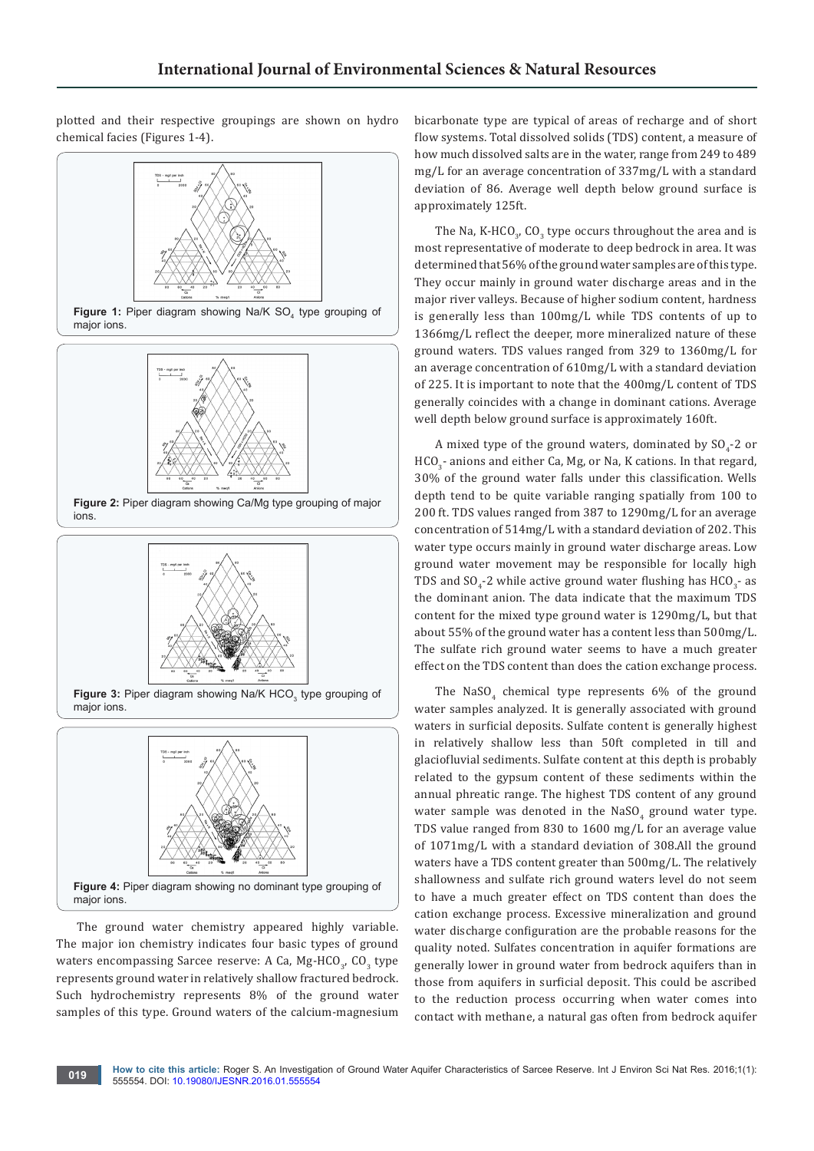plotted and their respective groupings are shown on hydro chemical facies (Figures 1-4).





**Figure 3:** Piper diagram showing Na/K  $HCO<sub>3</sub>$  type grouping of major ions.



The ground water chemistry appeared highly variable. The major ion chemistry indicates four basic types of ground waters encompassing Sarcee reserve: A Ca, Mg-HCO<sub>3</sub>, CO<sub>3</sub> type represents ground water in relatively shallow fractured bedrock. Such hydrochemistry represents 8% of the ground water samples of this type. Ground waters of the calcium-magnesium

bicarbonate type are typical of areas of recharge and of short flow systems. Total dissolved solids (TDS) content, a measure of how much dissolved salts are in the water, range from 249 to 489 mg/L for an average concentration of 337mg/L with a standard deviation of 86. Average well depth below ground surface is approximately 125ft.

The Na, K-HCO<sub>3</sub>, CO<sub>3</sub> type occurs throughout the area and is most representative of moderate to deep bedrock in area. It was determined that 56% of the ground water samples are of this type. They occur mainly in ground water discharge areas and in the major river valleys. Because of higher sodium content, hardness is generally less than 100mg/L while TDS contents of up to 1366mg/L reflect the deeper, more mineralized nature of these ground waters. TDS values ranged from 329 to 1360mg/L for an average concentration of 610mg/L with a standard deviation of 225. It is important to note that the 400mg/L content of TDS generally coincides with a change in dominant cations. Average well depth below ground surface is approximately 160ft.

A mixed type of the ground waters, dominated by  $\mathop{\rm SO}\nolimits_4$ -2 or  $\text{HCO}_3^{\text{-}}$  anions and either Ca, Mg, or Na, K cations. In that regard, 30% of the ground water falls under this classification. Wells depth tend to be quite variable ranging spatially from 100 to 200 ft. TDS values ranged from 387 to 1290mg/L for an average concentration of 514mg/L with a standard deviation of 202. This water type occurs mainly in ground water discharge areas. Low ground water movement may be responsible for locally high TDS and SO<sub>4</sub>-2 while active ground water flushing has  $\mathrm{HCO}_{3}$ - as the dominant anion. The data indicate that the maximum TDS content for the mixed type ground water is 1290mg/L, but that about 55% of the ground water has a content less than 500mg/L. The sulfate rich ground water seems to have a much greater effect on the TDS content than does the cation exchange process.

The  $\text{NaSO}_4$  chemical type represents 6% of the ground water samples analyzed. It is generally associated with ground waters in surficial deposits. Sulfate content is generally highest in relatively shallow less than 50ft completed in till and glaciofluvial sediments. Sulfate content at this depth is probably related to the gypsum content of these sediments within the annual phreatic range. The highest TDS content of any ground water sample was denoted in the  $\texttt{NaSO}_4$  ground water type. TDS value ranged from 830 to 1600 mg/L for an average value of 1071mg/L with a standard deviation of 308.All the ground waters have a TDS content greater than 500mg/L. The relatively shallowness and sulfate rich ground waters level do not seem to have a much greater effect on TDS content than does the cation exchange process. Excessive mineralization and ground water discharge configuration are the probable reasons for the quality noted. Sulfates concentration in aquifer formations are generally lower in ground water from bedrock aquifers than in those from aquifers in surficial deposit. This could be ascribed to the reduction process occurring when water comes into contact with methane, a natural gas often from bedrock aquifer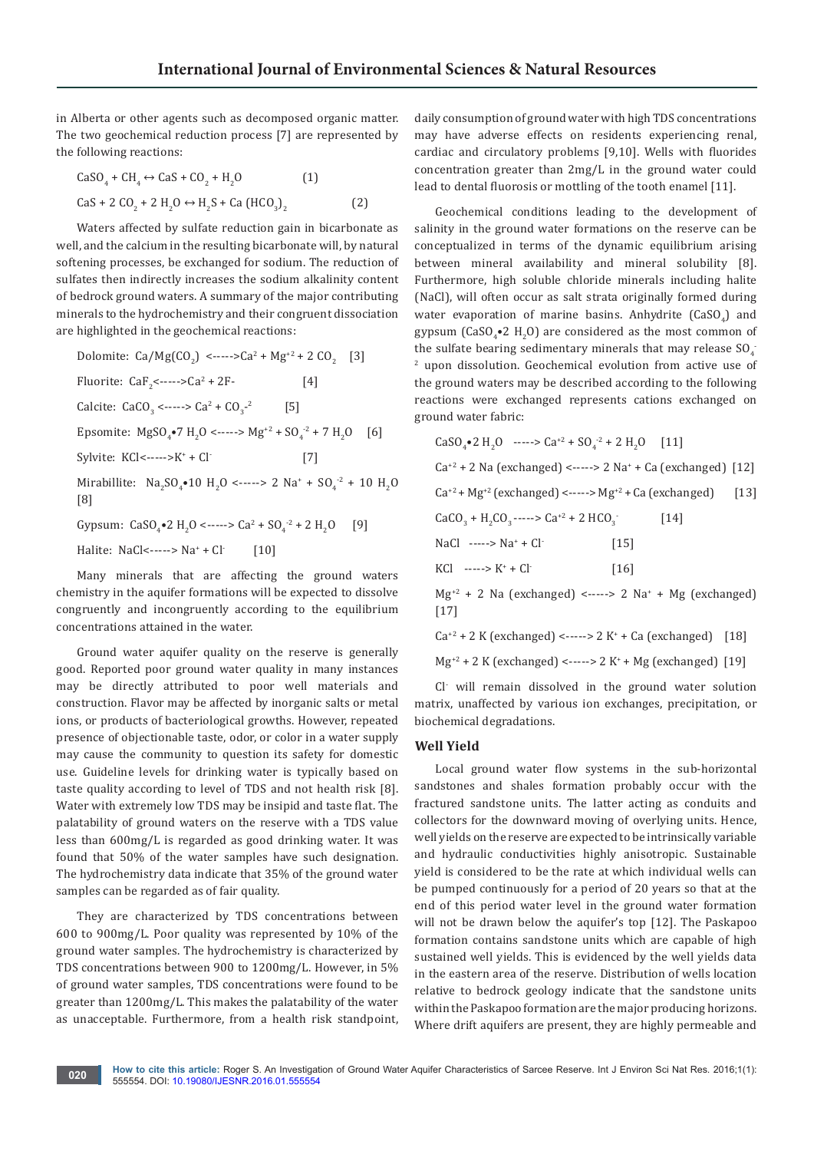in Alberta or other agents such as decomposed organic matter. The two geochemical reduction process [7] are represented by the following reactions:

$$
CaSO4 + CH4 ↔ CaS + CO2 + H2O
$$
 (1)  
CaS + 2 CO<sub>2</sub> + 2 H<sub>2</sub>O ↔ H<sub>2</sub>S + Ca (HCO<sub>3</sub>)<sub>2</sub> (2)

Waters affected by sulfate reduction gain in bicarbonate as well, and the calcium in the resulting bicarbonate will, by natural softening processes, be exchanged for sodium. The reduction of sulfates then indirectly increases the sodium alkalinity content of bedrock ground waters. A summary of the major contributing minerals to the hydrochemistry and their congruent dissociation are highlighted in the geochemical reactions:

Dolomite: Ca/Mg(CO<sub>2</sub>) <----->Ca<sup>2</sup> + Mg<sup>+2</sup> + 2 CO<sub>2</sub> [3] Fluorite:  $CaF_2$ <-----> $Ca^2 + 2F$ - [4] Calcite:  $CaCO<sub>3</sub>$  <----->  $Ca<sup>2</sup> + CO<sub>3</sub>$  $[5]$ Epsomite:  $MgSO_4^{\bullet}7 H_2O \leftarrow \rightarrow Mg^{2} + SO_4^{\prime} + 7 H_2O$  [6] Sylvite:  $KCI< ---->K^+ + Cl^-$  [7] Mirabillite:  $\text{Na}_2\text{SO}_4\bullet 10 \text{ H}_2\text{O} \text{ and } 2 \text{ Na}^+ + \text{SO}_4^{-2} + 10 \text{ H}_2\text{O}$ [8] Gypsum:  $CaSO_4$ •2 H<sub>2</sub>O <----->  $Ca^2 + SO_4^{-2} + 2 H_2$  $[9]$ Halite: NaCl<-----> Na<sup>+</sup>  $[10]$ 

Many minerals that are affecting the ground waters chemistry in the aquifer formations will be expected to dissolve congruently and incongruently according to the equilibrium concentrations attained in the water.

Ground water aquifer quality on the reserve is generally good. Reported poor ground water quality in many instances may be directly attributed to poor well materials and construction. Flavor may be affected by inorganic salts or metal ions, or products of bacteriological growths. However, repeated presence of objectionable taste, odor, or color in a water supply may cause the community to question its safety for domestic use. Guideline levels for drinking water is typically based on taste quality according to level of TDS and not health risk [8]. Water with extremely low TDS may be insipid and taste flat. The palatability of ground waters on the reserve with a TDS value less than 600mg/L is regarded as good drinking water. It was found that 50% of the water samples have such designation. The hydrochemistry data indicate that 35% of the ground water samples can be regarded as of fair quality.

They are characterized by TDS concentrations between 600 to 900mg/L. Poor quality was represented by 10% of the ground water samples. The hydrochemistry is characterized by TDS concentrations between 900 to 1200mg/L. However, in 5% of ground water samples, TDS concentrations were found to be greater than 1200mg/L. This makes the palatability of the water as unacceptable. Furthermore, from a health risk standpoint, daily consumption of ground water with high TDS concentrations may have adverse effects on residents experiencing renal, cardiac and circulatory problems [9,10]. Wells with fluorides concentration greater than 2mg/L in the ground water could lead to dental fluorosis or mottling of the tooth enamel [11].

Geochemical conditions leading to the development of salinity in the ground water formations on the reserve can be conceptualized in terms of the dynamic equilibrium arising between mineral availability and mineral solubility [8]. Furthermore, high soluble chloride minerals including halite (NaCl), will often occur as salt strata originally formed during water evaporation of marine basins. Anhydrite  $(CaSO_4)$  and gypsum (CaSO<sub>4</sub> $\bullet$ 2 H<sub>2</sub>O) are considered as the most common of the sulfate bearing sedimentary minerals that may release  $\mathrm{SO}_4^-$ 2 upon dissolution. Geochemical evolution from active use of the ground waters may be described according to the following reactions were exchanged represents cations exchanged on ground water fabric:

| CaSO <sub>4</sub> •2 H <sub>2</sub> O -----> Ca <sup>+2</sup> + SO <sub>4</sub> <sup>-2</sup> + 2 H <sub>2</sub> O [11] |                    |      |  |
|-------------------------------------------------------------------------------------------------------------------------|--------------------|------|--|
| $Ca^{2} + 2$ Na (exchanged) <-----> 2 Na <sup>+</sup> + Ca (exchanged) [12]                                             |                    |      |  |
| $Ca^{+2} + Mg^{+2}$ (exchanged) <-----> Mg <sup>+2</sup> + Ca (exchanged) [13]                                          |                    |      |  |
| $CaCO3 + H2CO3 - \cdots > Ca+2 + 2 HCO3$                                                                                |                    | [14] |  |
| $NaCl$ -----> $Na^+ + Cl^-$                                                                                             | $\vert 15 \vert$   |      |  |
| $KCl$ -----> $K^+$ + Cl <sup>-</sup>                                                                                    | $\lceil 16 \rceil$ |      |  |
| $Mg^{2} + 2$ Na (exchanged) <-----> 2 Na <sup>+</sup> + Mg (exchanged)                                                  |                    |      |  |

Mg+2 + 2 Na (exchanged) <-----> 2 Na+ + Mg (exchanged)  $[17]$ 

 $Ca^{2} + 2 K$  (exchanged) <-----> 2 K<sup>+</sup> + Ca (exchanged) [18]

 $Mg^{2}$  + 2 K (exchanged) <-----> 2 K<sup>+</sup> + Mg (exchanged) [19]

Cl- will remain dissolved in the ground water solution matrix, unaffected by various ion exchanges, precipitation, or biochemical degradations.

### **Well Yield**

Local ground water flow systems in the sub-horizontal sandstones and shales formation probably occur with the fractured sandstone units. The latter acting as conduits and collectors for the downward moving of overlying units. Hence, well yields on the reserve are expected to be intrinsically variable and hydraulic conductivities highly anisotropic. Sustainable yield is considered to be the rate at which individual wells can be pumped continuously for a period of 20 years so that at the end of this period water level in the ground water formation will not be drawn below the aquifer's top [12]. The Paskapoo formation contains sandstone units which are capable of high sustained well yields. This is evidenced by the well yields data in the eastern area of the reserve. Distribution of wells location relative to bedrock geology indicate that the sandstone units within the Paskapoo formation are the major producing horizons. Where drift aquifers are present, they are highly permeable and